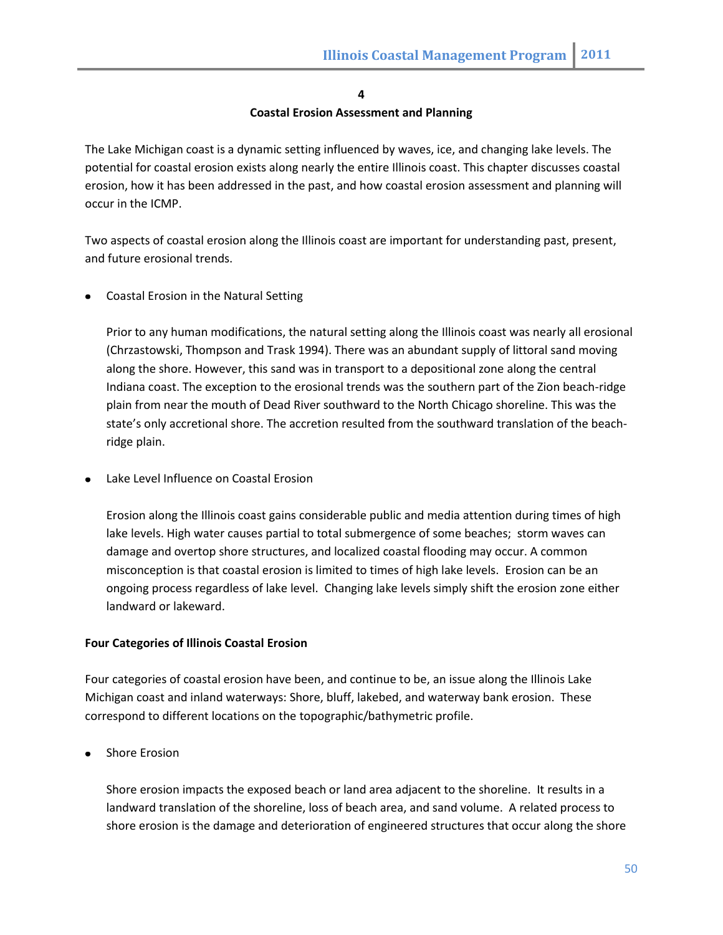#### **4**

### **Coastal Erosion Assessment and Planning**

The Lake Michigan coast is a dynamic setting influenced by waves, ice, and changing lake levels. The potential for coastal erosion exists along nearly the entire Illinois coast. This chapter discusses coastal erosion, how it has been addressed in the past, and how coastal erosion assessment and planning will occur in the ICMP.

Two aspects of coastal erosion along the Illinois coast are important for understanding past, present, and future erosional trends.

Coastal Erosion in the Natural Setting

Prior to any human modifications, the natural setting along the Illinois coast was nearly all erosional (Chrzastowski, Thompson and Trask 1994). There was an abundant supply of littoral sand moving along the shore. However, this sand was in transport to a depositional zone along the central Indiana coast. The exception to the erosional trends was the southern part of the Zion beach-ridge plain from near the mouth of Dead River southward to the North Chicago shoreline. This was the state's only accretional shore. The accretion resulted from the southward translation of the beachridge plain.

Lake Level Influence on Coastal Erosion

Erosion along the Illinois coast gains considerable public and media attention during times of high lake levels. High water causes partial to total submergence of some beaches; storm waves can damage and overtop shore structures, and localized coastal flooding may occur. A common misconception is that coastal erosion is limited to times of high lake levels. Erosion can be an ongoing process regardless of lake level. Changing lake levels simply shift the erosion zone either landward or lakeward.

# **Four Categories of Illinois Coastal Erosion**

Four categories of coastal erosion have been, and continue to be, an issue along the Illinois Lake Michigan coast and inland waterways: Shore, bluff, lakebed, and waterway bank erosion. These correspond to different locations on the topographic/bathymetric profile.

Shore Erosion

Shore erosion impacts the exposed beach or land area adjacent to the shoreline. It results in a landward translation of the shoreline, loss of beach area, and sand volume. A related process to shore erosion is the damage and deterioration of engineered structures that occur along the shore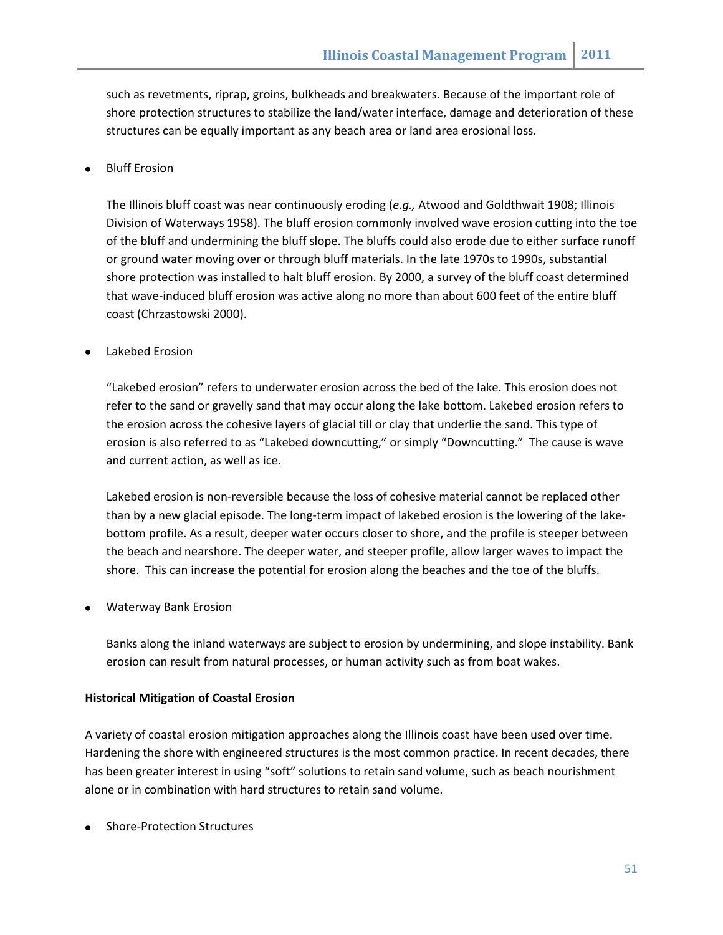such as revetments, riprap, groins, bulkheads and breakwaters. Because of the important role of shore protection structures to stabilize the land/water interface, damage and deterioration of these structures can be equally important as any beach area or land area erosional loss.

## Bluff Erosion

The Illinois bluff coast was near continuously eroding (*e.g.,* Atwood and Goldthwait 1908; Illinois Division of Waterways 1958). The bluff erosion commonly involved wave erosion cutting into the toe of the bluff and undermining the bluff slope. The bluffs could also erode due to either surface runoff or ground water moving over or through bluff materials. In the late 1970s to 1990s, substantial shore protection was installed to halt bluff erosion. By 2000, a survey of the bluff coast determined that wave-induced bluff erosion was active along no more than about 600 feet of the entire bluff coast (Chrzastowski 2000).

### Lakebed Erosion

"Lakebed erosion" refers to underwater erosion across the bed of the lake. This erosion does not refer to the sand or gravelly sand that may occur along the lake bottom. Lakebed erosion refers to the erosion across the cohesive layers of glacial till or clay that underlie the sand. This type of erosion is also referred to as "Lakebed downcutting," or simply "Downcutting." The cause is wave and current action, as well as ice.

Lakebed erosion is non-reversible because the loss of cohesive material cannot be replaced other than by a new glacial episode. The long-term impact of lakebed erosion is the lowering of the lakebottom profile. As a result, deeper water occurs closer to shore, and the profile is steeper between the beach and nearshore. The deeper water, and steeper profile, allow larger waves to impact the shore. This can increase the potential for erosion along the beaches and the toe of the bluffs.

Waterway Bank Erosion

Banks along the inland waterways are subject to erosion by undermining, and slope instability. Bank erosion can result from natural processes, or human activity such as from boat wakes.

#### **Historical Mitigation of Coastal Erosion**

A variety of coastal erosion mitigation approaches along the Illinois coast have been used over time. Hardening the shore with engineered structures is the most common practice. In recent decades, there has been greater interest in using "soft" solutions to retain sand volume, such as beach nourishment alone or in combination with hard structures to retain sand volume.

Shore-Protection Structures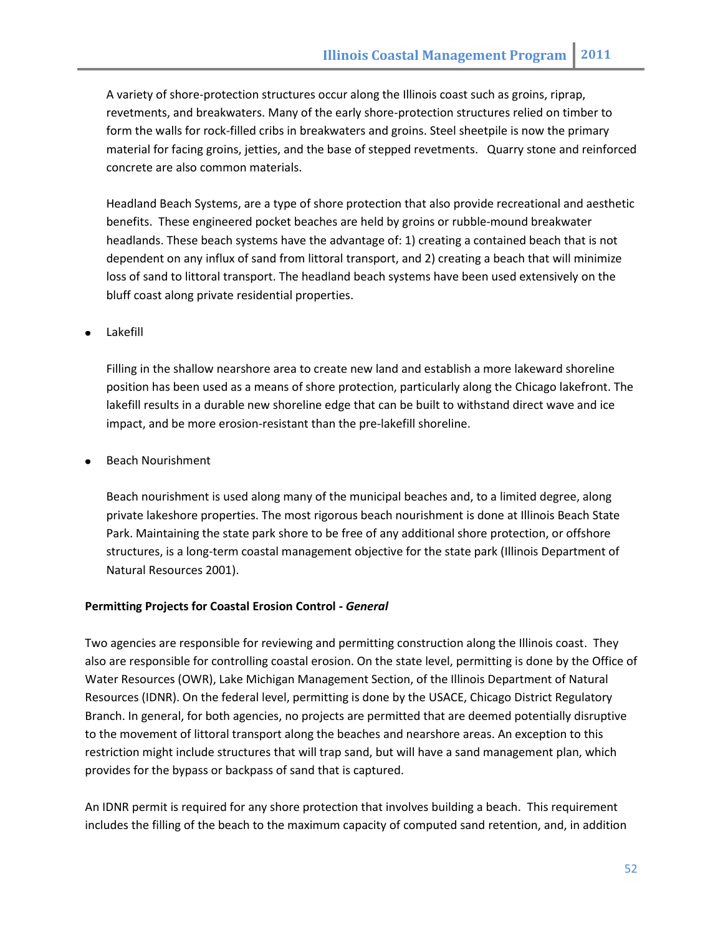A variety of shore-protection structures occur along the Illinois coast such as groins, riprap, revetments, and breakwaters. Many of the early shore-protection structures relied on timber to form the walls for rock-filled cribs in breakwaters and groins. Steel sheetpile is now the primary material for facing groins, jetties, and the base of stepped revetments. Quarry stone and reinforced concrete are also common materials.

Headland Beach Systems, are a type of shore protection that also provide recreational and aesthetic benefits. These engineered pocket beaches are held by groins or rubble-mound breakwater headlands. These beach systems have the advantage of: 1) creating a contained beach that is not dependent on any influx of sand from littoral transport, and 2) creating a beach that will minimize loss of sand to littoral transport. The headland beach systems have been used extensively on the bluff coast along private residential properties.

Lakefill

Filling in the shallow nearshore area to create new land and establish a more lakeward shoreline position has been used as a means of shore protection, particularly along the Chicago lakefront. The lakefill results in a durable new shoreline edge that can be built to withstand direct wave and ice impact, and be more erosion-resistant than the pre-lakefill shoreline.

Beach Nourishment

Beach nourishment is used along many of the municipal beaches and, to a limited degree, along private lakeshore properties. The most rigorous beach nourishment is done at Illinois Beach State Park. Maintaining the state park shore to be free of any additional shore protection, or offshore structures, is a long-term coastal management objective for the state park (Illinois Department of Natural Resources 2001).

# **Permitting Projects for Coastal Erosion Control -** *General*

Two agencies are responsible for reviewing and permitting construction along the Illinois coast. They also are responsible for controlling coastal erosion. On the state level, permitting is done by the Office of Water Resources (OWR), Lake Michigan Management Section, of the Illinois Department of Natural Resources (IDNR). On the federal level, permitting is done by the USACE, Chicago District Regulatory Branch. In general, for both agencies, no projects are permitted that are deemed potentially disruptive to the movement of littoral transport along the beaches and nearshore areas. An exception to this restriction might include structures that will trap sand, but will have a sand management plan, which provides for the bypass or backpass of sand that is captured.

An IDNR permit is required for any shore protection that involves building a beach. This requirement includes the filling of the beach to the maximum capacity of computed sand retention, and, in addition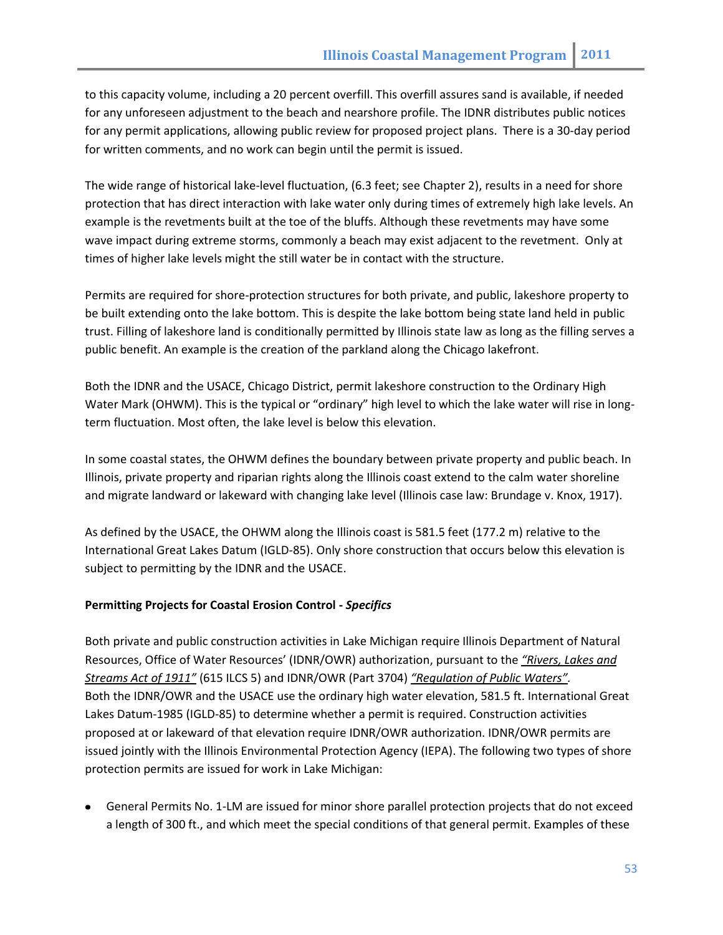to this capacity volume, including a 20 percent overfill. This overfill assures sand is available, if needed for any unforeseen adjustment to the beach and nearshore profile. The IDNR distributes public notices for any permit applications, allowing public review for proposed project plans. There is a 30-day period for written comments, and no work can begin until the permit is issued.

The wide range of historical lake-level fluctuation, (6.3 feet; see Chapter 2), results in a need for shore protection that has direct interaction with lake water only during times of extremely high lake levels. An example is the revetments built at the toe of the bluffs. Although these revetments may have some wave impact during extreme storms, commonly a beach may exist adjacent to the revetment. Only at times of higher lake levels might the still water be in contact with the structure.

Permits are required for shore-protection structures for both private, and public, lakeshore property to be built extending onto the lake bottom. This is despite the lake bottom being state land held in public trust. Filling of lakeshore land is conditionally permitted by Illinois state law as long as the filling serves a public benefit. An example is the creation of the parkland along the Chicago lakefront.

Both the IDNR and the USACE, Chicago District, permit lakeshore construction to the Ordinary High Water Mark (OHWM). This is the typical or "ordinary" high level to which the lake water will rise in longterm fluctuation. Most often, the lake level is below this elevation.

In some coastal states, the OHWM defines the boundary between private property and public beach. In Illinois, private property and riparian rights along the Illinois coast extend to the calm water shoreline and migrate landward or lakeward with changing lake level (Illinois case law: Brundage v. Knox, 1917).

As defined by the USACE, the OHWM along the Illinois coast is 581.5 feet (177.2 m) relative to the International Great Lakes Datum (IGLD-85). Only shore construction that occurs below this elevation is subject to permitting by the IDNR and the USACE.

# **Permitting Projects for Coastal Erosion Control -** *Specifics*

Both private and public construction activities in Lake Michigan require Illinois Department of Natural Resources, Office of Water Resources' (IDNR/OWR) authorization, pursuant to the *"Rivers, Lakes and Streams Act of 1911"* (615 ILCS 5) and IDNR/OWR (Part 3704) *"Regulation of Public Waters".* Both the IDNR/OWR and the USACE use the ordinary high water elevation, 581.5 ft. International Great Lakes Datum-1985 (IGLD-85) to determine whether a permit is required. Construction activities proposed at or lakeward of that elevation require IDNR/OWR authorization. IDNR/OWR permits are issued jointly with the Illinois Environmental Protection Agency (IEPA). The following two types of shore protection permits are issued for work in Lake Michigan:

General Permits No. 1-LM are issued for minor shore parallel protection projects that do not exceed a length of 300 ft., and which meet the special conditions of that general permit. Examples of these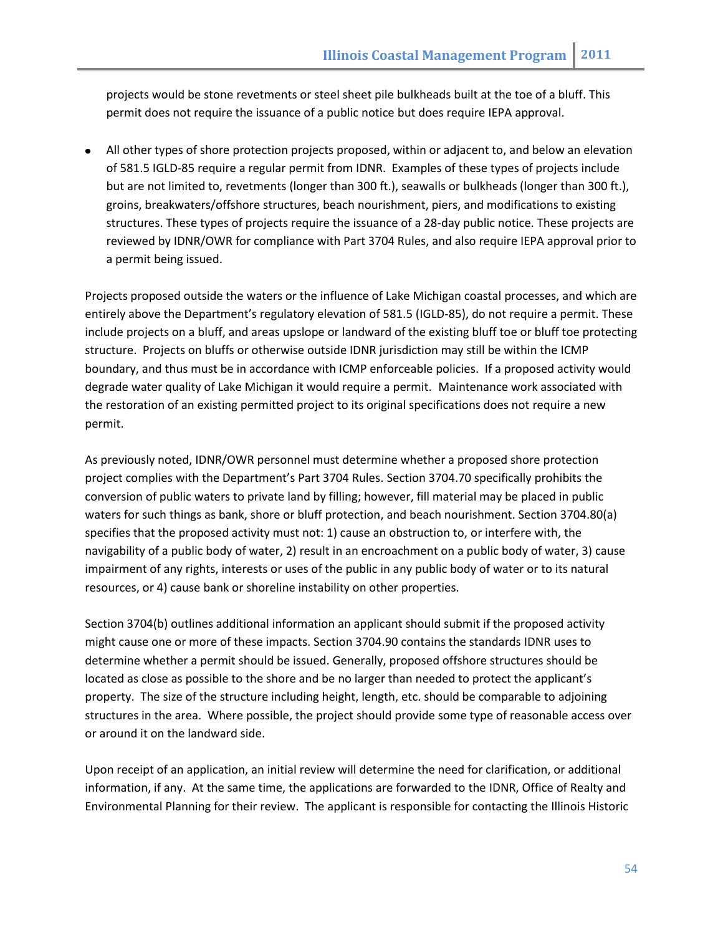projects would be stone revetments or steel sheet pile bulkheads built at the toe of a bluff. This permit does not require the issuance of a public notice but does require IEPA approval.

All other types of shore protection projects proposed, within or adjacent to, and below an elevation of 581.5 IGLD-85 require a regular permit from IDNR. Examples of these types of projects include but are not limited to, revetments (longer than 300 ft.), seawalls or bulkheads (longer than 300 ft.), groins, breakwaters/offshore structures, beach nourishment, piers, and modifications to existing structures. These types of projects require the issuance of a 28-day public notice. These projects are reviewed by IDNR/OWR for compliance with Part 3704 Rules, and also require IEPA approval prior to a permit being issued.

Projects proposed outside the waters or the influence of Lake Michigan coastal processes, and which are entirely above the Department's regulatory elevation of 581.5 (IGLD-85), do not require a permit. These include projects on a bluff, and areas upslope or landward of the existing bluff toe or bluff toe protecting structure. Projects on bluffs or otherwise outside IDNR jurisdiction may still be within the ICMP boundary, and thus must be in accordance with ICMP enforceable policies. If a proposed activity would degrade water quality of Lake Michigan it would require a permit. Maintenance work associated with the restoration of an existing permitted project to its original specifications does not require a new permit.

As previously noted, IDNR/OWR personnel must determine whether a proposed shore protection project complies with the Department's Part 3704 Rules. Section 3704.70 specifically prohibits the conversion of public waters to private land by filling; however, fill material may be placed in public waters for such things as bank, shore or bluff protection, and beach nourishment. Section 3704.80(a) specifies that the proposed activity must not: 1) cause an obstruction to, or interfere with, the navigability of a public body of water, 2) result in an encroachment on a public body of water, 3) cause impairment of any rights, interests or uses of the public in any public body of water or to its natural resources, or 4) cause bank or shoreline instability on other properties.

Section 3704(b) outlines additional information an applicant should submit if the proposed activity might cause one or more of these impacts. Section 3704.90 contains the standards IDNR uses to determine whether a permit should be issued. Generally, proposed offshore structures should be located as close as possible to the shore and be no larger than needed to protect the applicant's property. The size of the structure including height, length, etc. should be comparable to adjoining structures in the area. Where possible, the project should provide some type of reasonable access over or around it on the landward side.

Upon receipt of an application, an initial review will determine the need for clarification, or additional information, if any. At the same time, the applications are forwarded to the IDNR, Office of Realty and Environmental Planning for their review. The applicant is responsible for contacting the Illinois Historic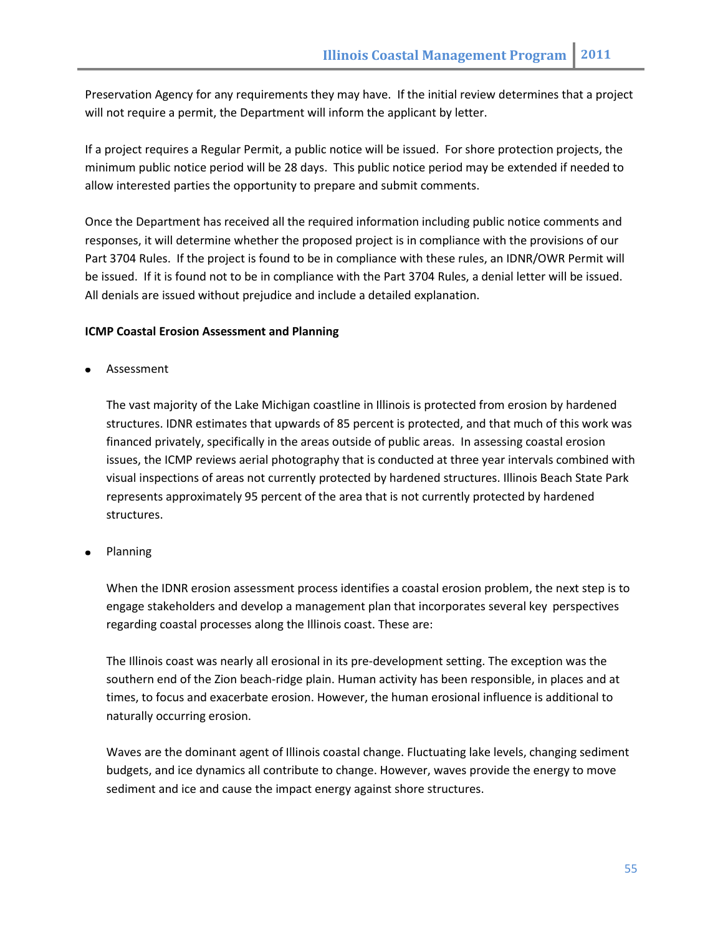Preservation Agency for any requirements they may have. If the initial review determines that a project will not require a permit, the Department will inform the applicant by letter.

If a project requires a Regular Permit, a public notice will be issued. For shore protection projects, the minimum public notice period will be 28 days. This public notice period may be extended if needed to allow interested parties the opportunity to prepare and submit comments.

Once the Department has received all the required information including public notice comments and responses, it will determine whether the proposed project is in compliance with the provisions of our Part 3704 Rules. If the project is found to be in compliance with these rules, an IDNR/OWR Permit will be issued. If it is found not to be in compliance with the Part 3704 Rules, a denial letter will be issued. All denials are issued without prejudice and include a detailed explanation.

### **ICMP Coastal Erosion Assessment and Planning**

Assessment

The vast majority of the Lake Michigan coastline in Illinois is protected from erosion by hardened structures. IDNR estimates that upwards of 85 percent is protected, and that much of this work was financed privately, specifically in the areas outside of public areas. In assessing coastal erosion issues, the ICMP reviews aerial photography that is conducted at three year intervals combined with visual inspections of areas not currently protected by hardened structures. Illinois Beach State Park represents approximately 95 percent of the area that is not currently protected by hardened structures.

Planning

When the IDNR erosion assessment process identifies a coastal erosion problem, the next step is to engage stakeholders and develop a management plan that incorporates several key perspectives regarding coastal processes along the Illinois coast. These are:

The Illinois coast was nearly all erosional in its pre-development setting. The exception was the southern end of the Zion beach-ridge plain. Human activity has been responsible, in places and at times, to focus and exacerbate erosion. However, the human erosional influence is additional to naturally occurring erosion.

Waves are the dominant agent of Illinois coastal change. Fluctuating lake levels, changing sediment budgets, and ice dynamics all contribute to change. However, waves provide the energy to move sediment and ice and cause the impact energy against shore structures.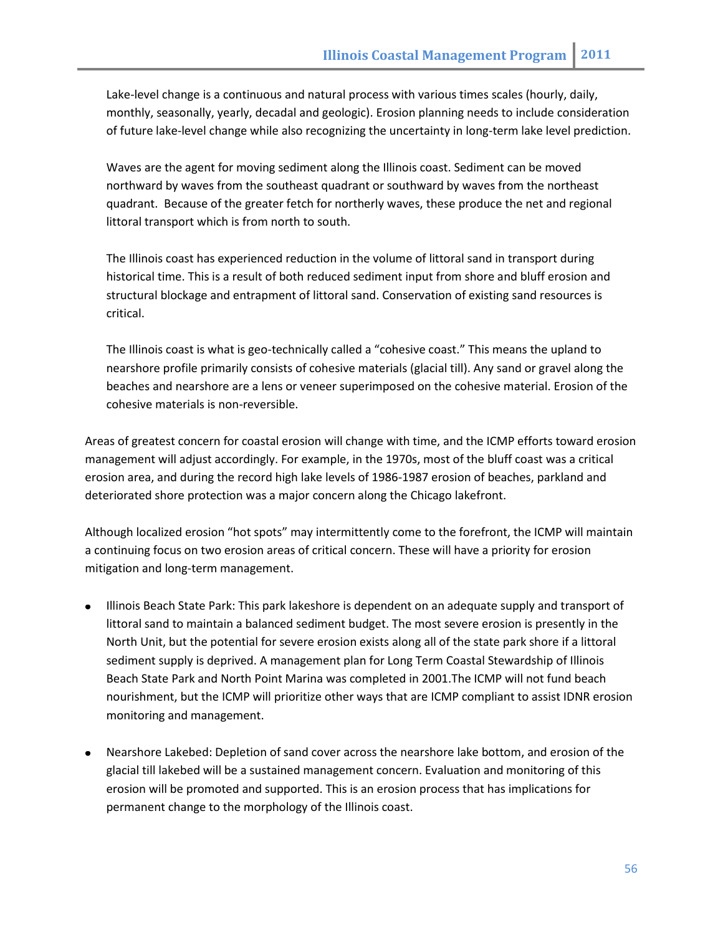Lake-level change is a continuous and natural process with various times scales (hourly, daily, monthly, seasonally, yearly, decadal and geologic). Erosion planning needs to include consideration of future lake-level change while also recognizing the uncertainty in long-term lake level prediction.

Waves are the agent for moving sediment along the Illinois coast. Sediment can be moved northward by waves from the southeast quadrant or southward by waves from the northeast quadrant. Because of the greater fetch for northerly waves, these produce the net and regional littoral transport which is from north to south.

The Illinois coast has experienced reduction in the volume of littoral sand in transport during historical time. This is a result of both reduced sediment input from shore and bluff erosion and structural blockage and entrapment of littoral sand. Conservation of existing sand resources is critical.

The Illinois coast is what is geo-technically called a "cohesive coast." This means the upland to nearshore profile primarily consists of cohesive materials (glacial till). Any sand or gravel along the beaches and nearshore are a lens or veneer superimposed on the cohesive material. Erosion of the cohesive materials is non-reversible.

Areas of greatest concern for coastal erosion will change with time, and the ICMP efforts toward erosion management will adjust accordingly. For example, in the 1970s, most of the bluff coast was a critical erosion area, and during the record high lake levels of 1986-1987 erosion of beaches, parkland and deteriorated shore protection was a major concern along the Chicago lakefront.

Although localized erosion "hot spots" may intermittently come to the forefront, the ICMP will maintain a continuing focus on two erosion areas of critical concern. These will have a priority for erosion mitigation and long-term management.

- Illinois Beach State Park: This park lakeshore is dependent on an adequate supply and transport of littoral sand to maintain a balanced sediment budget. The most severe erosion is presently in the North Unit, but the potential for severe erosion exists along all of the state park shore if a littoral sediment supply is deprived. A management plan for Long Term Coastal Stewardship of Illinois Beach State Park and North Point Marina was completed in 2001.The ICMP will not fund beach nourishment, but the ICMP will prioritize other ways that are ICMP compliant to assist IDNR erosion monitoring and management.
- Nearshore Lakebed: Depletion of sand cover across the nearshore lake bottom, and erosion of the glacial till lakebed will be a sustained management concern. Evaluation and monitoring of this erosion will be promoted and supported. This is an erosion process that has implications for permanent change to the morphology of the Illinois coast.